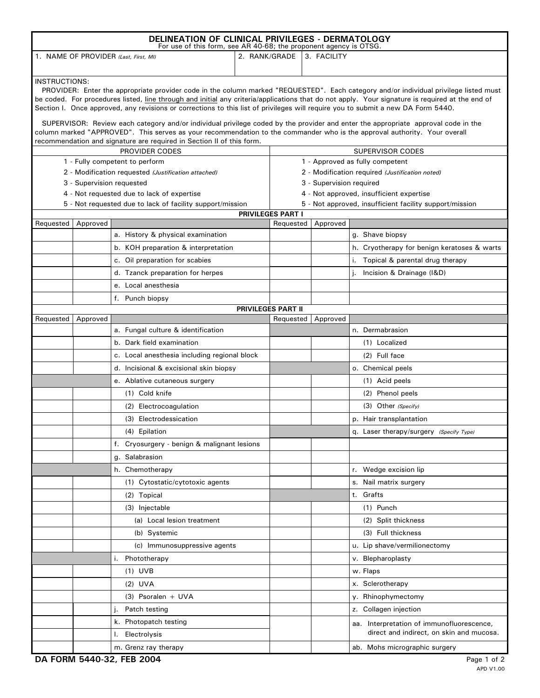| DELINEATION OF CLINICAL PRIVILEGES - DERMATOLOGY<br>For use of this form, see AR 40-68; the proponent agency is OTSG.                                                                                                                                                                                                                                                                                                                                                                                                                                                                                                                                                                                                                                                                           |          |                                                           |               |                                                                      |             |                                             |  |  |
|-------------------------------------------------------------------------------------------------------------------------------------------------------------------------------------------------------------------------------------------------------------------------------------------------------------------------------------------------------------------------------------------------------------------------------------------------------------------------------------------------------------------------------------------------------------------------------------------------------------------------------------------------------------------------------------------------------------------------------------------------------------------------------------------------|----------|-----------------------------------------------------------|---------------|----------------------------------------------------------------------|-------------|---------------------------------------------|--|--|
| 1. NAME OF PROVIDER (Last, First, MI)                                                                                                                                                                                                                                                                                                                                                                                                                                                                                                                                                                                                                                                                                                                                                           |          |                                                           | 2. RANK/GRADE |                                                                      | 3. FACILITY |                                             |  |  |
| <b>INSTRUCTIONS:</b><br>PROVIDER: Enter the appropriate provider code in the column marked "REQUESTED". Each category and/or individual privilege listed must<br>be coded. For procedures listed, line through and initial any criteria/applications that do not apply. Your signature is required at the end of<br>Section I. Once approved, any revisions or corrections to this list of privileges will require you to submit a new DA Form 5440.<br>SUPERVISOR: Review each category and/or individual privilege coded by the provider and enter the appropriate approval code in the<br>column marked "APPROVED". This serves as your recommendation to the commander who is the approval authority. Your overall<br>recommendation and signature are required in Section II of this form. |          |                                                           |               |                                                                      |             |                                             |  |  |
| PROVIDER CODES                                                                                                                                                                                                                                                                                                                                                                                                                                                                                                                                                                                                                                                                                                                                                                                  |          |                                                           |               | SUPERVISOR CODES                                                     |             |                                             |  |  |
| 1 - Fully competent to perform                                                                                                                                                                                                                                                                                                                                                                                                                                                                                                                                                                                                                                                                                                                                                                  |          |                                                           |               | 1 - Approved as fully competent                                      |             |                                             |  |  |
| 2 - Modification requested (Justification attached)                                                                                                                                                                                                                                                                                                                                                                                                                                                                                                                                                                                                                                                                                                                                             |          |                                                           |               | 2 - Modification required (Justification noted)                      |             |                                             |  |  |
| 3 - Supervision requested<br>4 - Not requested due to lack of expertise                                                                                                                                                                                                                                                                                                                                                                                                                                                                                                                                                                                                                                                                                                                         |          |                                                           |               | 3 - Supervision required<br>4 - Not approved, insufficient expertise |             |                                             |  |  |
|                                                                                                                                                                                                                                                                                                                                                                                                                                                                                                                                                                                                                                                                                                                                                                                                 |          | 5 - Not requested due to lack of facility support/mission |               | 5 - Not approved, insufficient facility support/mission              |             |                                             |  |  |
|                                                                                                                                                                                                                                                                                                                                                                                                                                                                                                                                                                                                                                                                                                                                                                                                 |          |                                                           |               | PRIVILEGES PART I                                                    |             |                                             |  |  |
| Requested                                                                                                                                                                                                                                                                                                                                                                                                                                                                                                                                                                                                                                                                                                                                                                                       | Approved |                                                           |               | Requested                                                            | Approved    |                                             |  |  |
|                                                                                                                                                                                                                                                                                                                                                                                                                                                                                                                                                                                                                                                                                                                                                                                                 |          | a. History & physical examination                         |               |                                                                      |             | g. Shave biopsy                             |  |  |
|                                                                                                                                                                                                                                                                                                                                                                                                                                                                                                                                                                                                                                                                                                                                                                                                 |          | b. KOH preparation & interpretation                       |               |                                                                      |             | h. Cryotherapy for benign keratoses & warts |  |  |
|                                                                                                                                                                                                                                                                                                                                                                                                                                                                                                                                                                                                                                                                                                                                                                                                 |          | c. Oil preparation for scabies                            |               |                                                                      |             | i. Topical & parental drug therapy          |  |  |
|                                                                                                                                                                                                                                                                                                                                                                                                                                                                                                                                                                                                                                                                                                                                                                                                 |          | d. Tzanck preparation for herpes                          |               |                                                                      |             | Incision & Drainage (I&D)                   |  |  |
|                                                                                                                                                                                                                                                                                                                                                                                                                                                                                                                                                                                                                                                                                                                                                                                                 |          | e. Local anesthesia                                       |               |                                                                      |             |                                             |  |  |
|                                                                                                                                                                                                                                                                                                                                                                                                                                                                                                                                                                                                                                                                                                                                                                                                 |          | f. Punch biopsy                                           |               |                                                                      |             |                                             |  |  |
|                                                                                                                                                                                                                                                                                                                                                                                                                                                                                                                                                                                                                                                                                                                                                                                                 |          |                                                           |               | PRIVILEGES PART II                                                   |             |                                             |  |  |
| Requested                                                                                                                                                                                                                                                                                                                                                                                                                                                                                                                                                                                                                                                                                                                                                                                       | Approved | a. Fungal culture & identification                        |               | Requested                                                            | Approved    | n. Dermabrasion                             |  |  |
|                                                                                                                                                                                                                                                                                                                                                                                                                                                                                                                                                                                                                                                                                                                                                                                                 |          | b. Dark field examination                                 |               |                                                                      |             | (1) Localized                               |  |  |
|                                                                                                                                                                                                                                                                                                                                                                                                                                                                                                                                                                                                                                                                                                                                                                                                 |          |                                                           |               |                                                                      |             |                                             |  |  |
|                                                                                                                                                                                                                                                                                                                                                                                                                                                                                                                                                                                                                                                                                                                                                                                                 |          | c. Local anesthesia including regional block              |               |                                                                      |             | (2) Full face                               |  |  |
|                                                                                                                                                                                                                                                                                                                                                                                                                                                                                                                                                                                                                                                                                                                                                                                                 |          | d. Incisional & excisional skin biopsy                    |               |                                                                      |             | o. Chemical peels                           |  |  |
|                                                                                                                                                                                                                                                                                                                                                                                                                                                                                                                                                                                                                                                                                                                                                                                                 |          | e. Ablative cutaneous surgery                             |               |                                                                      |             | (1) Acid peels                              |  |  |
|                                                                                                                                                                                                                                                                                                                                                                                                                                                                                                                                                                                                                                                                                                                                                                                                 |          | (1) Cold knife                                            |               |                                                                      |             | (2) Phenol peels                            |  |  |
|                                                                                                                                                                                                                                                                                                                                                                                                                                                                                                                                                                                                                                                                                                                                                                                                 |          | (2) Electrocoagulation                                    |               |                                                                      |             | (3) Other (Specify)                         |  |  |
|                                                                                                                                                                                                                                                                                                                                                                                                                                                                                                                                                                                                                                                                                                                                                                                                 |          | (3) Electrodessication                                    |               |                                                                      |             | p. Hair transplantation                     |  |  |
|                                                                                                                                                                                                                                                                                                                                                                                                                                                                                                                                                                                                                                                                                                                                                                                                 |          | (4) Epilation                                             |               |                                                                      |             | q. Laser therapy/surgery (Specify Type)     |  |  |
|                                                                                                                                                                                                                                                                                                                                                                                                                                                                                                                                                                                                                                                                                                                                                                                                 |          | f. Cryosurgery - benign & malignant lesions               |               |                                                                      |             |                                             |  |  |
|                                                                                                                                                                                                                                                                                                                                                                                                                                                                                                                                                                                                                                                                                                                                                                                                 |          | Salabrasion<br>g.                                         |               |                                                                      |             |                                             |  |  |
|                                                                                                                                                                                                                                                                                                                                                                                                                                                                                                                                                                                                                                                                                                                                                                                                 |          | h. Chemotherapy                                           |               |                                                                      |             | r. Wedge excision lip                       |  |  |
|                                                                                                                                                                                                                                                                                                                                                                                                                                                                                                                                                                                                                                                                                                                                                                                                 |          | (1) Cytostatic/cytotoxic agents                           |               |                                                                      |             | s. Nail matrix surgery                      |  |  |
|                                                                                                                                                                                                                                                                                                                                                                                                                                                                                                                                                                                                                                                                                                                                                                                                 |          | (2) Topical                                               |               |                                                                      |             | t. Grafts                                   |  |  |
|                                                                                                                                                                                                                                                                                                                                                                                                                                                                                                                                                                                                                                                                                                                                                                                                 |          | (3) Injectable                                            |               |                                                                      |             | $(1)$ Punch                                 |  |  |
|                                                                                                                                                                                                                                                                                                                                                                                                                                                                                                                                                                                                                                                                                                                                                                                                 |          | (a) Local lesion treatment                                |               |                                                                      |             | (2) Split thickness                         |  |  |
|                                                                                                                                                                                                                                                                                                                                                                                                                                                                                                                                                                                                                                                                                                                                                                                                 |          | (b) Systemic                                              |               |                                                                      |             | (3) Full thickness                          |  |  |
|                                                                                                                                                                                                                                                                                                                                                                                                                                                                                                                                                                                                                                                                                                                                                                                                 |          | (c) Immunosuppressive agents                              |               |                                                                      |             | u. Lip shave/vermilionectomy                |  |  |
|                                                                                                                                                                                                                                                                                                                                                                                                                                                                                                                                                                                                                                                                                                                                                                                                 |          | i.<br>Phototherapy                                        |               |                                                                      |             | v. Blepharoplasty                           |  |  |
|                                                                                                                                                                                                                                                                                                                                                                                                                                                                                                                                                                                                                                                                                                                                                                                                 |          | $(1)$ UVB                                                 |               |                                                                      |             | w. Flaps                                    |  |  |
|                                                                                                                                                                                                                                                                                                                                                                                                                                                                                                                                                                                                                                                                                                                                                                                                 |          | $(2)$ UVA                                                 |               |                                                                      |             | x. Sclerotherapy                            |  |  |
|                                                                                                                                                                                                                                                                                                                                                                                                                                                                                                                                                                                                                                                                                                                                                                                                 |          | $(3)$ Psoralen + UVA                                      |               |                                                                      |             | y. Rhinophymectomy                          |  |  |
|                                                                                                                                                                                                                                                                                                                                                                                                                                                                                                                                                                                                                                                                                                                                                                                                 |          | Patch testing<br>j.                                       |               |                                                                      |             | z. Collagen injection                       |  |  |
|                                                                                                                                                                                                                                                                                                                                                                                                                                                                                                                                                                                                                                                                                                                                                                                                 |          | k. Photopatch testing                                     |               |                                                                      |             | aa. Interpretation of immunofluorescence,   |  |  |
|                                                                                                                                                                                                                                                                                                                                                                                                                                                                                                                                                                                                                                                                                                                                                                                                 |          | I. Electrolysis                                           |               |                                                                      |             | direct and indirect, on skin and mucosa.    |  |  |
|                                                                                                                                                                                                                                                                                                                                                                                                                                                                                                                                                                                                                                                                                                                                                                                                 |          | m. Grenz ray therapy                                      |               |                                                                      |             | ab. Mohs micrographic surgery               |  |  |
|                                                                                                                                                                                                                                                                                                                                                                                                                                                                                                                                                                                                                                                                                                                                                                                                 |          | DA FORM 5440-32, FEB 2004                                 |               |                                                                      |             | Page 1 of 2                                 |  |  |